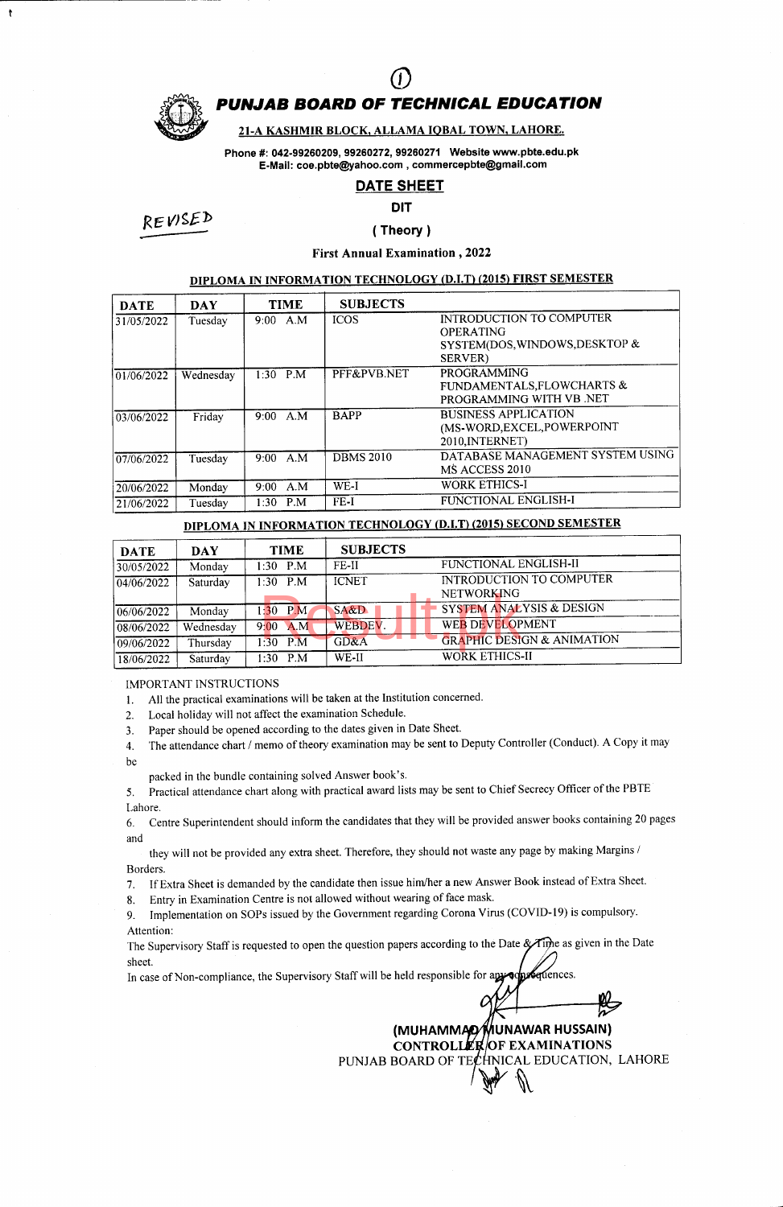

 $\ddot{\mathbf{t}}$ 

# PUNJAB BOARD OF TECHNICAL EDUCATION  $\overline{O}$

### 21-A KASHMIR BLOCK, ALLAMA IOBAL TOWN, LAHORE.

Phone #: 042-99260209, 99260272, 99260271 Website www.pbte.edu.pk E-Mail: coe.pbte@yahoo.com, commercepbte@gmail.com

### DATE SHEET

#### DIT

RE WgEb

## ( Theory )

First Annual Examination ,2022

### DIPLOMA IN INFORMATION TECHNOLOGY (D.I.T) (2015) FIRST SEMESTER

| <b>DATE</b> | <b>DAY</b> | <b>TIME</b>        | <b>SUBJECTS</b>  |                                                                                                   |
|-------------|------------|--------------------|------------------|---------------------------------------------------------------------------------------------------|
| 31/05/2022  | Tuesday    | $9:00 \text{ A.M}$ | <b>ICOS</b>      | INTRODUCTION TO COMPUTER<br><b>OPERATING</b><br>SYSTEM(DOS, WINDOWS, DESKTOP &<br><b>SERVER</b> ) |
| 01/06/2022  | Wednesday  | $1:30$ P.M         | PFF&PVB.NET      | <b>PROGRAMMING</b><br>FUNDAMENTALS, FLOWCHARTS &<br>PROGRAMMING WITH VB .NET                      |
| 03/06/2022  | Friday     | 9:00 A.M           | <b>BAPP</b>      | <b>BUSINESS APPLICATION</b><br>(MS-WORD, EXCEL, POWERPOINT<br>2010, INTERNET)                     |
| 07/06/2022  | Tuesday    | A M<br>$9:00^{-}$  | <b>DBMS 2010</b> | DATABASE MANAGEMENT SYSTEM USING<br>MS ACCESS 2010                                                |
| 20/06/2022  | Monday     | A.M<br>$9:00^{-7}$ | WE-I             | <b>WORK ETHICS-I</b>                                                                              |
| 21/06/2022  | Tuesday    | P.M<br>1:30        | FE-I             | FUNCTIONAL ENGLISH-I                                                                              |

### DIPLOMA IN INFORMATION TECHNOLOGY (D.I.T) (2015) SECOND SEMESTER

| <b>DATE</b>          | <b>DAY</b> | <b>TIME</b>       | <b>SUBJECTS</b> |                                               |
|----------------------|------------|-------------------|-----------------|-----------------------------------------------|
| 30/05/2022           | Monday     | $1:30$ P.M        | FE-II           | FUNCTIONAL ENGLISH-II                         |
| $\sqrt{04/06/2022}$  | Saturday   | $1.30$ P.M        | <b>ICNET</b>    | INTRODUCTION TO COMPUTER<br><b>NETWORKING</b> |
| $ 06/06/2022\rangle$ | Monday     | $1:30$ P.M        | $S A \& D$      | SYSTEM ANALYSIS & DESIGN                      |
| 08/06/2022           | Wednesday  | A.M<br>$9:00^{-}$ | WEBDEV.         | <b>WEB DEVELOPMENT</b>                        |
| 09/06/2022           | Thursday   | PM<br>$1:30^{-}$  | GD&A            | <b>GRAPHIC DESIGN &amp; ANIMATION</b>         |
| 18/06/2022           | Saturday   | $1:30$ P.M        | WE-II           | WORK ETHICS-II                                |

IMPORTANT INSTRUCTIONS

1. All the practical examinations will be taken at the Institution concerned.

2. Local holiday will not affect the examination Schedule.

3. Paper should be opened according to the dates given in Date Sheet.

4. The attendance chart / memo of theory examination may be sent to Deputy Controller (Conduct). A Copy it may be

packed in the bundle containing solved Answer book's.

5. Practical attendance chart along with practical award lists may be sent to Chief Secrecy Officer of the PBTE Lahore.

6. Centre Superintendent should inform the candidates that they will be provided answer books containing 20 pages and

they will not be provided any extra sheet. Therefore, they should not waste any page by making Margins / Borders.

7. If Extra Sheet is demanded by the candidate then issue him/her a new Answer Book instead of Extra Sheet.

8. Entry in Examination Centre is not allowed without wearing of face mask.

9. Implementation on SOPs issued by the Government regarding Corona Virus (COVID-19) is compulsory. Attention:

The Supervisory Staff is requested to open the question papers according to the Date & Tipe as given in the Date sheet.

In case of Non-compliance, the Supervisory Staff will be held responsible for apyoon Centences.

> (MUHAMMAD⁄MUNAWAR HUSSAIN) EXAMINATION**s** PUNJAB BOARD OF TE $\cancel{t}$ HNICAL EDUCATION, LAHORE  $\mathbb{R}$

C